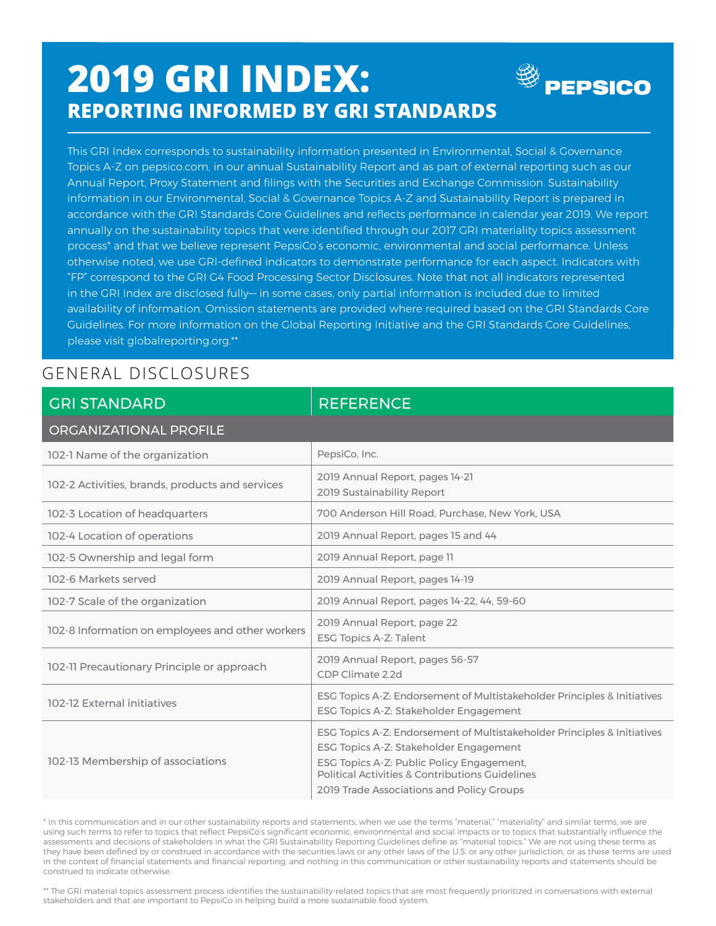## **2019 GRI INDEX: REPORTING INFORMED BY GRI STANDARDS**



This GRI Index corresponds to sustainability information presented in Environmental, Social & Governance Topics A-Z on pepsico.com, in our annual Sustainability Report and as part of external reporting such as our Annual Report, Proxy Statement and filings with the Securities and Exchange Commission. Sustainability information in our Environmental, Social & Governance Topics A-Z and Sustainability Report is prepared in accordance with the GRI Standards Core Guidelines and reflects performance in calendar year 2019. We report annually on the sustainability topics that were identified through our 2017 GRI materiality topics assessment process\* and that we believe represent PepsiCo's economic, environmental and social performance. Unless otherwise noted, we use GRI-defined indicators to demonstrate performance for each aspect. Indicators with "FP" correspond to the GRI G4 Food Processing Sector Disclosures. Note that not all indicators represented in the GRI Index are disclosed fully— in some cases, only partial information is included due to limited availability of information. Omission statements are provided where required based on the GRI Standards Core Guidelines. For more information on the Global Reporting Initiative and the GRI Standards Core Guidelines, please visit globalreporting.org.\*\*

## GENERAL DISCLOSURES

| <b>GRI STANDARD</b>                              | <b>REFERENCE</b>                                                                                                                                                                                                                                                |
|--------------------------------------------------|-----------------------------------------------------------------------------------------------------------------------------------------------------------------------------------------------------------------------------------------------------------------|
| ORGANIZATIONAL PROFILE                           |                                                                                                                                                                                                                                                                 |
| 102-1 Name of the organization                   | PepsiCo, Inc.                                                                                                                                                                                                                                                   |
| 102-2 Activities, brands, products and services  | 2019 Annual Report, pages 14-21<br>2019 Sustainability Report                                                                                                                                                                                                   |
| 102-3 Location of headquarters                   | 700 Anderson Hill Road, Purchase, New York, USA                                                                                                                                                                                                                 |
| 102-4 Location of operations                     | 2019 Annual Report, pages 15 and 44                                                                                                                                                                                                                             |
| 102-5 Ownership and legal form                   | 2019 Annual Report, page 11                                                                                                                                                                                                                                     |
| 102-6 Markets served                             | 2019 Annual Report, pages 14-19                                                                                                                                                                                                                                 |
| 102-7 Scale of the organization                  | 2019 Annual Report, pages 14-22, 44, 59-60                                                                                                                                                                                                                      |
| 102-8 Information on employees and other workers | 2019 Annual Report, page 22<br>ESG Topics A-Z: Talent                                                                                                                                                                                                           |
| 102-11 Precautionary Principle or approach       | 2019 Annual Report, pages 56-57<br>CDP Climate 2.2d                                                                                                                                                                                                             |
| 102-12 External initiatives                      | ESG Topics A-Z: Endorsement of Multistakeholder Principles & Initiatives<br>ESG Topics A-Z: Stakeholder Engagement                                                                                                                                              |
| 102-13 Membership of associations                | ESG Topics A-Z: Endorsement of Multistakeholder Principles & Initiatives<br>ESG Topics A-Z: Stakeholder Engagement<br>ESG Topics A-Z: Public Policy Engagement,<br>Political Activities & Contributions Guidelines<br>2019 Trade Associations and Policy Groups |

\* In this communication and in our other sustainability reports and statements, when we use the terms "material," "materiality" and similar terms, we are using such terms to refer to topics that reflect PepsiCo's significant economic, environmental and social impacts or to topics that substantially influence the assessments and decisions of stakeholders in what the GRI Sustainability Reporting Guidelines define as "material topics." We are not using these terms as they have been defined by or construed in accordance with the securities laws or any other laws of the U.S. or any other jurisdiction, or as these terms are used in the context of financial statements and financial reporting, and nothing in this communication or other sustainability reports and statements should be construed to indicate otherwise.

\*\* The GRI material topics assessment process identifies the sustainability-related topics that are most frequently prioritized in conversations with external stakeholders and that are important to PepsiCo in helping build a more sustainable food system.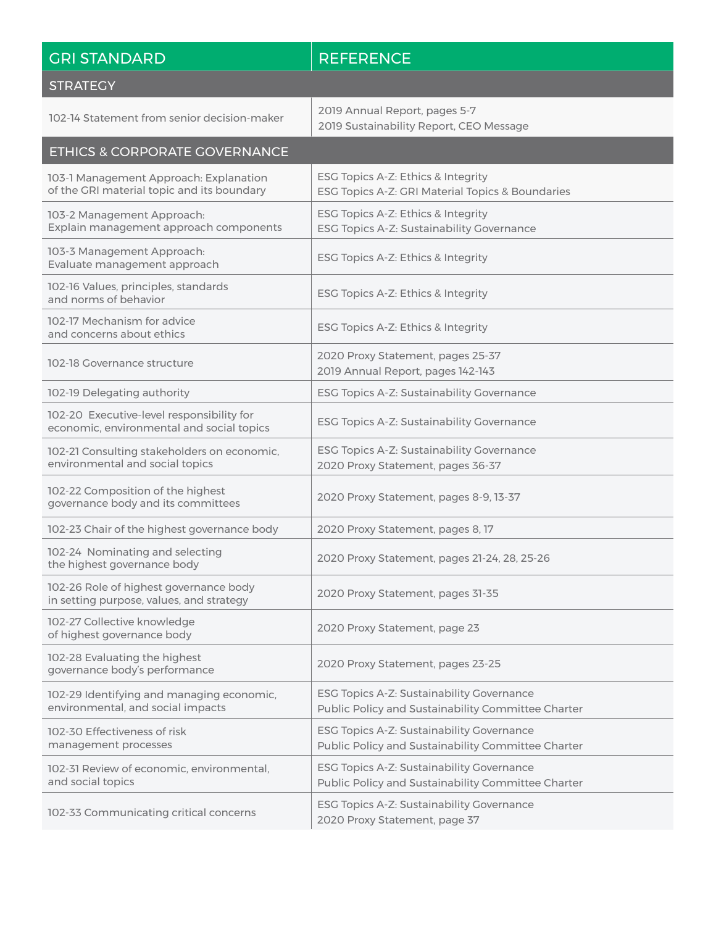| <b>GRI STANDARD</b>                                                                    | <b>REFERENCE</b>                                                                                |
|----------------------------------------------------------------------------------------|-------------------------------------------------------------------------------------------------|
| <b>STRATEGY</b>                                                                        |                                                                                                 |
| 102-14 Statement from senior decision-maker                                            | 2019 Annual Report, pages 5-7<br>2019 Sustainability Report, CEO Message                        |
| <b>ETHICS &amp; CORPORATE GOVERNANCE</b>                                               |                                                                                                 |
| 103-1 Management Approach: Explanation<br>of the GRI material topic and its boundary   | ESG Topics A-Z: Ethics & Integrity<br>ESG Topics A-Z: GRI Material Topics & Boundaries          |
| 103-2 Management Approach:<br>Explain management approach components                   | ESG Topics A-Z: Ethics & Integrity<br>ESG Topics A-Z: Sustainability Governance                 |
| 103-3 Management Approach:<br>Evaluate management approach                             | ESG Topics A-Z: Ethics & Integrity                                                              |
| 102-16 Values, principles, standards<br>and norms of behavior                          | ESG Topics A-Z: Ethics & Integrity                                                              |
| 102-17 Mechanism for advice<br>and concerns about ethics                               | ESG Topics A-Z: Ethics & Integrity                                                              |
| 102-18 Governance structure                                                            | 2020 Proxy Statement, pages 25-37<br>2019 Annual Report, pages 142-143                          |
| 102-19 Delegating authority                                                            | ESG Topics A-Z: Sustainability Governance                                                       |
| 102-20 Executive-level responsibility for<br>economic, environmental and social topics | ESG Topics A-Z: Sustainability Governance                                                       |
| 102-21 Consulting stakeholders on economic,<br>environmental and social topics         | ESG Topics A-Z: Sustainability Governance<br>2020 Proxy Statement, pages 36-37                  |
| 102-22 Composition of the highest<br>governance body and its committees                | 2020 Proxy Statement, pages 8-9, 13-37                                                          |
| 102-23 Chair of the highest governance body                                            | 2020 Proxy Statement, pages 8, 17                                                               |
| 102-24 Nominating and selecting<br>the highest governance body                         | 2020 Proxy Statement, pages 21-24, 28, 25-26                                                    |
| 102-26 Role of highest governance body<br>in setting purpose, values, and strategy     | 2020 Proxy Statement, pages 31-35                                                               |
| 102-27 Collective knowledge<br>of highest governance body                              | 2020 Proxy Statement, page 23                                                                   |
| 102-28 Evaluating the highest<br>governance body's performance                         | 2020 Proxy Statement, pages 23-25                                                               |
| 102-29 Identifying and managing economic,<br>environmental, and social impacts         | ESG Topics A-Z: Sustainability Governance<br>Public Policy and Sustainability Committee Charter |
| 102-30 Effectiveness of risk<br>management processes                                   | ESG Topics A-Z: Sustainability Governance<br>Public Policy and Sustainability Committee Charter |
| 102-31 Review of economic, environmental,<br>and social topics                         | ESG Topics A-Z: Sustainability Governance<br>Public Policy and Sustainability Committee Charter |
| 102-33 Communicating critical concerns                                                 | ESG Topics A-Z: Sustainability Governance<br>2020 Proxy Statement, page 37                      |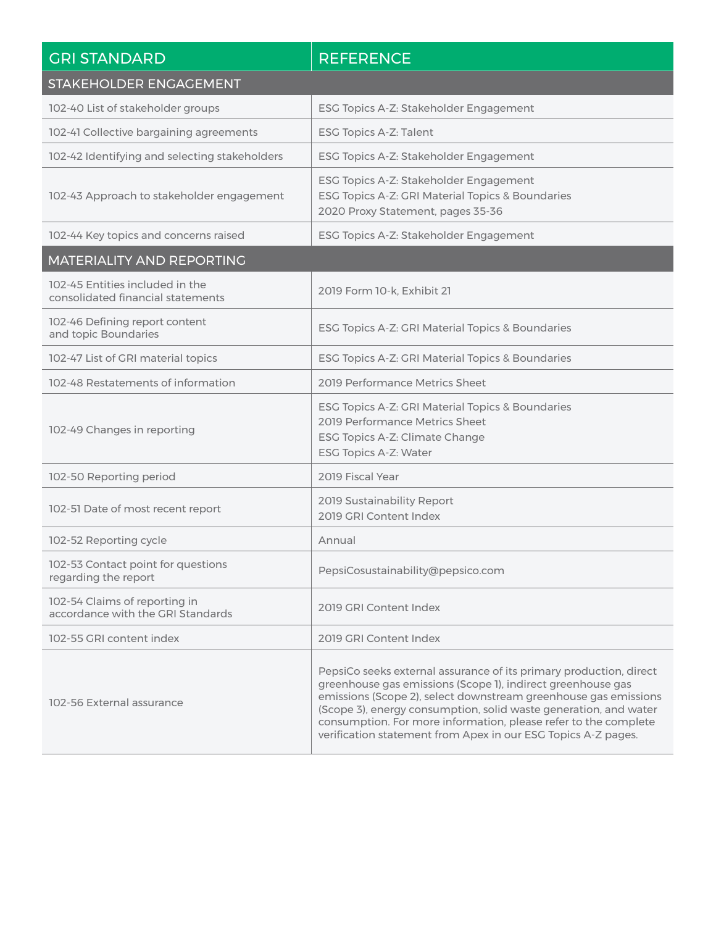| <b>GRI STANDARD</b>                                                  | <b>REFERENCE</b>                                                                                                                                                                                                                                                                                                                                                                                             |
|----------------------------------------------------------------------|--------------------------------------------------------------------------------------------------------------------------------------------------------------------------------------------------------------------------------------------------------------------------------------------------------------------------------------------------------------------------------------------------------------|
| STAKEHOLDER ENGAGEMENT                                               |                                                                                                                                                                                                                                                                                                                                                                                                              |
| 102-40 List of stakeholder groups                                    | ESG Topics A-Z: Stakeholder Engagement                                                                                                                                                                                                                                                                                                                                                                       |
| 102-41 Collective bargaining agreements                              | ESG Topics A-Z: Talent                                                                                                                                                                                                                                                                                                                                                                                       |
| 102-42 Identifying and selecting stakeholders                        | ESG Topics A-Z: Stakeholder Engagement                                                                                                                                                                                                                                                                                                                                                                       |
| 102-43 Approach to stakeholder engagement                            | ESG Topics A-Z: Stakeholder Engagement<br>ESG Topics A-Z: GRI Material Topics & Boundaries<br>2020 Proxy Statement, pages 35-36                                                                                                                                                                                                                                                                              |
| 102-44 Key topics and concerns raised                                | ESG Topics A-Z: Stakeholder Engagement                                                                                                                                                                                                                                                                                                                                                                       |
| MATERIALITY AND REPORTING                                            |                                                                                                                                                                                                                                                                                                                                                                                                              |
| 102-45 Entities included in the<br>consolidated financial statements | 2019 Form 10-k, Exhibit 21                                                                                                                                                                                                                                                                                                                                                                                   |
| 102-46 Defining report content<br>and topic Boundaries               | ESG Topics A-Z: GRI Material Topics & Boundaries                                                                                                                                                                                                                                                                                                                                                             |
| 102-47 List of GRI material topics                                   | ESG Topics A-Z: GRI Material Topics & Boundaries                                                                                                                                                                                                                                                                                                                                                             |
| 102-48 Restatements of information                                   | 2019 Performance Metrics Sheet                                                                                                                                                                                                                                                                                                                                                                               |
| 102-49 Changes in reporting                                          | ESG Topics A-Z: GRI Material Topics & Boundaries<br>2019 Performance Metrics Sheet<br>ESG Topics A-Z: Climate Change<br>ESG Topics A-Z: Water                                                                                                                                                                                                                                                                |
| 102-50 Reporting period                                              | 2019 Fiscal Year                                                                                                                                                                                                                                                                                                                                                                                             |
| 102-51 Date of most recent report                                    | 2019 Sustainability Report<br>2019 GRI Content Index                                                                                                                                                                                                                                                                                                                                                         |
| 102-52 Reporting cycle                                               | Annual                                                                                                                                                                                                                                                                                                                                                                                                       |
| 102-53 Contact point for questions<br>regarding the report           | PepsiCosustainability@pepsico.com                                                                                                                                                                                                                                                                                                                                                                            |
| 102-54 Claims of reporting in<br>accordance with the GRI Standards   | 2019 GRI Content Index                                                                                                                                                                                                                                                                                                                                                                                       |
| 102-55 GRI content index                                             | 2019 GRI Content Index                                                                                                                                                                                                                                                                                                                                                                                       |
| 102-56 External assurance                                            | PepsiCo seeks external assurance of its primary production, direct<br>greenhouse gas emissions (Scope 1), indirect greenhouse gas<br>emissions (Scope 2), select downstream greenhouse gas emissions<br>(Scope 3), energy consumption, solid waste generation, and water<br>consumption. For more information, please refer to the complete<br>verification statement from Apex in our ESG Topics A-Z pages. |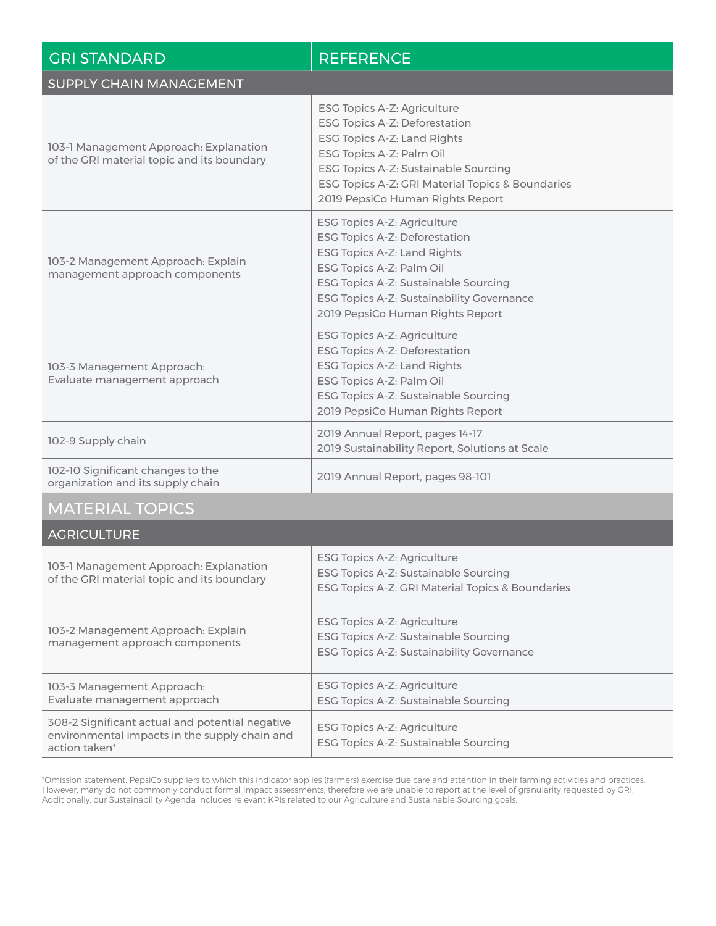| <b>GRI STANDARD</b>                                                                                               | <b>REFERENCE</b>                                                                                                                                                                                                                                        |
|-------------------------------------------------------------------------------------------------------------------|---------------------------------------------------------------------------------------------------------------------------------------------------------------------------------------------------------------------------------------------------------|
| SUPPLY CHAIN MANAGEMENT                                                                                           |                                                                                                                                                                                                                                                         |
| 103-1 Management Approach: Explanation<br>of the GRI material topic and its boundary                              | ESG Topics A-Z: Agriculture<br>ESG Topics A-Z: Deforestation<br>ESG Topics A-Z: Land Rights<br>ESG Topics A-Z: Palm Oil<br>ESG Topics A-Z: Sustainable Sourcing<br>ESG Topics A-Z: GRI Material Topics & Boundaries<br>2019 PepsiCo Human Rights Report |
| 103-2 Management Approach: Explain<br>management approach components                                              | ESG Topics A-Z: Agriculture<br>ESG Topics A-Z: Deforestation<br>ESG Topics A-Z: Land Rights<br>ESG Topics A-Z: Palm Oil<br>ESG Topics A-Z: Sustainable Sourcing<br>ESG Topics A-Z: Sustainability Governance<br>2019 PepsiCo Human Rights Report        |
| 103-3 Management Approach:<br>Evaluate management approach                                                        | ESG Topics A-Z: Agriculture<br>ESG Topics A-Z: Deforestation<br>ESG Topics A-Z: Land Rights<br>ESG Topics A-Z: Palm Oil<br>ESG Topics A-Z: Sustainable Sourcing<br>2019 PepsiCo Human Rights Report                                                     |
| 102-9 Supply chain                                                                                                | 2019 Annual Report, pages 14-17<br>2019 Sustainability Report, Solutions at Scale                                                                                                                                                                       |
| 102-10 Significant changes to the<br>organization and its supply chain                                            | 2019 Annual Report, pages 98-101                                                                                                                                                                                                                        |
| <b>MATERIAL TOPICS</b>                                                                                            |                                                                                                                                                                                                                                                         |
| <b>AGRICULTURE</b>                                                                                                |                                                                                                                                                                                                                                                         |
| 103-1 Management Approach: Explanation<br>of the GRI material topic and its boundary                              | ESG Topics A-Z: Agriculture<br>ESG Topics A-Z: Sustainable Sourcing<br>ESG Topics A-Z: GRI Material Topics & Boundaries                                                                                                                                 |
| 103-2 Management Approach: Explain<br>management approach components                                              | ESG Topics A-Z: Agriculture<br>ESG Topics A-Z: Sustainable Sourcing<br>ESG Topics A-Z: Sustainability Governance                                                                                                                                        |
| 103-3 Management Approach:<br>Evaluate management approach                                                        | ESG Topics A-Z: Agriculture<br>ESG Topics A-Z: Sustainable Sourcing                                                                                                                                                                                     |
| 308-2 Significant actual and potential negative<br>environmental impacts in the supply chain and<br>action taken* | ESG Topics A-Z: Agriculture<br>ESG Topics A-Z: Sustainable Sourcing                                                                                                                                                                                     |

\*Omission statement: PepsiCo suppliers to which this indicator applies (farmers) exercise due care and attention in their farming activities and practices. However, many do not commonly conduct formal impact assessments, therefore we are unable to report at the level of granularity requested by GRI. Additionally, our Sustainability Agenda includes relevant KPIs related to our Agriculture and Sustainable Sourcing goals.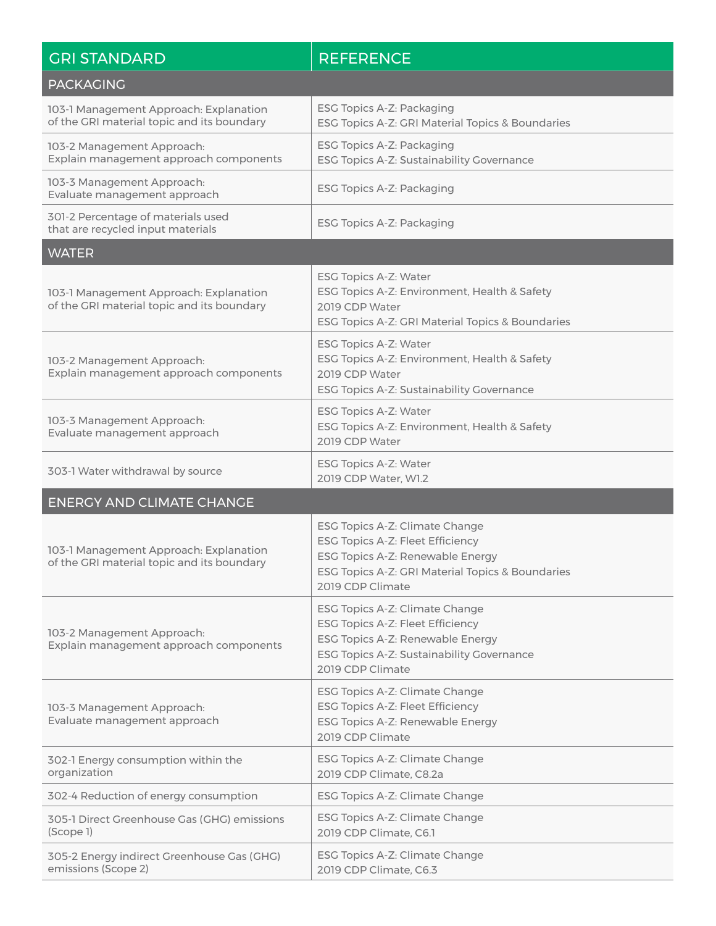| <b>GRI STANDARD</b>                                                                  | <b>REFERENCE</b>                                                                                                                                                               |
|--------------------------------------------------------------------------------------|--------------------------------------------------------------------------------------------------------------------------------------------------------------------------------|
| <b>PACKAGING</b>                                                                     |                                                                                                                                                                                |
| 103-1 Management Approach: Explanation<br>of the GRI material topic and its boundary | ESG Topics A-Z: Packaging<br>ESG Topics A-Z: GRI Material Topics & Boundaries                                                                                                  |
| 103-2 Management Approach:<br>Explain management approach components                 | ESG Topics A-Z: Packaging<br>ESG Topics A-Z: Sustainability Governance                                                                                                         |
| 103-3 Management Approach:<br>Evaluate management approach                           | ESG Topics A-Z: Packaging                                                                                                                                                      |
| 301-2 Percentage of materials used<br>that are recycled input materials              | ESG Topics A-Z: Packaging                                                                                                                                                      |
| <b>WATER</b>                                                                         |                                                                                                                                                                                |
| 103-1 Management Approach: Explanation<br>of the GRI material topic and its boundary | ESG Topics A-Z: Water<br>ESG Topics A-Z: Environment, Health & Safety<br>2019 CDP Water<br>ESG Topics A-Z: GRI Material Topics & Boundaries                                    |
| 103-2 Management Approach:<br>Explain management approach components                 | ESG Topics A-Z: Water<br>ESG Topics A-Z: Environment, Health & Safety<br>2019 CDP Water<br>ESG Topics A-Z: Sustainability Governance                                           |
| 103-3 Management Approach:<br>Evaluate management approach                           | ESG Topics A-Z: Water<br>ESG Topics A-Z: Environment, Health & Safety<br>2019 CDP Water                                                                                        |
| 303-1 Water withdrawal by source                                                     | ESG Topics A-Z: Water<br>2019 CDP Water, W1.2                                                                                                                                  |
| <b>ENERGY AND CLIMATE CHANGE</b>                                                     |                                                                                                                                                                                |
| 103-1 Management Approach: Explanation<br>of the GRI material topic and its boundary | ESG Topics A-Z: Climate Change<br>ESG Topics A-Z: Fleet Efficiency<br>ESG Topics A-Z: Renewable Energy<br>ESG Topics A-Z: GRI Material Topics & Boundaries<br>2019 CDP Climate |
| 103-2 Management Approach:<br>Explain management approach components                 | ESG Topics A-Z: Climate Change<br>ESG Topics A-Z: Fleet Efficiency<br>ESG Topics A-Z: Renewable Energy<br>ESG Topics A-Z: Sustainability Governance<br>2019 CDP Climate        |
| 103-3 Management Approach:<br>Evaluate management approach                           | ESG Topics A-Z: Climate Change<br>ESG Topics A-Z: Fleet Efficiency<br>ESG Topics A-Z: Renewable Energy<br>2019 CDP Climate                                                     |
| 302-1 Energy consumption within the<br>organization                                  | ESG Topics A-Z: Climate Change<br>2019 CDP Climate, C8.2a                                                                                                                      |
| 302-4 Reduction of energy consumption                                                | ESG Topics A-Z: Climate Change                                                                                                                                                 |
| 305-1 Direct Greenhouse Gas (GHG) emissions<br>(Scope 1)                             | ESG Topics A-Z: Climate Change<br>2019 CDP Climate, C6.1                                                                                                                       |
| 305-2 Energy indirect Greenhouse Gas (GHG)<br>emissions (Scope 2)                    | ESG Topics A-Z: Climate Change<br>2019 CDP Climate, C6.3                                                                                                                       |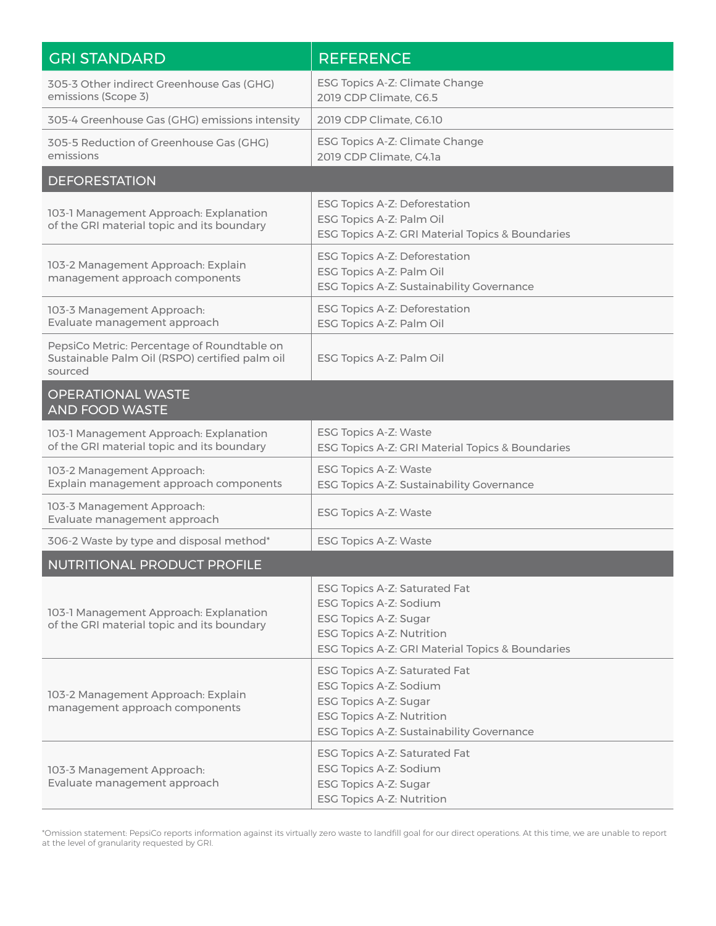| <b>GRI STANDARD</b>                                                                                      | <b>REFERENCE</b>                                                                                                                                                  |
|----------------------------------------------------------------------------------------------------------|-------------------------------------------------------------------------------------------------------------------------------------------------------------------|
| 305-3 Other indirect Greenhouse Gas (GHG)<br>emissions (Scope 3)                                         | ESG Topics A-Z: Climate Change<br>2019 CDP Climate, C6.5                                                                                                          |
| 305-4 Greenhouse Gas (GHG) emissions intensity                                                           | 2019 CDP Climate, C6.10                                                                                                                                           |
| 305-5 Reduction of Greenhouse Gas (GHG)<br>emissions                                                     | ESG Topics A-Z: Climate Change<br>2019 CDP Climate, C4.1a                                                                                                         |
| <b>DEFORESTATION</b>                                                                                     |                                                                                                                                                                   |
| 103-1 Management Approach: Explanation<br>of the GRI material topic and its boundary                     | ESG Topics A-Z: Deforestation<br>ESG Topics A-Z: Palm Oil<br>ESG Topics A-Z: GRI Material Topics & Boundaries                                                     |
| 103-2 Management Approach: Explain<br>management approach components                                     | ESG Topics A-Z: Deforestation<br>ESG Topics A-Z: Palm Oil<br>ESG Topics A-Z: Sustainability Governance                                                            |
| 103-3 Management Approach:<br>Evaluate management approach                                               | ESG Topics A-Z: Deforestation<br>ESG Topics A-Z: Palm Oil                                                                                                         |
| PepsiCo Metric: Percentage of Roundtable on<br>Sustainable Palm Oil (RSPO) certified palm oil<br>sourced | ESG Topics A-Z: Palm Oil                                                                                                                                          |
| <b>OPERATIONAL WASTE</b><br><b>AND FOOD WASTE</b>                                                        |                                                                                                                                                                   |
| 103-1 Management Approach: Explanation<br>of the GRI material topic and its boundary                     | ESG Topics A-Z: Waste<br>ESG Topics A-Z: GRI Material Topics & Boundaries                                                                                         |
| 103-2 Management Approach:<br>Explain management approach components                                     | ESG Topics A-Z: Waste<br>ESG Topics A-Z: Sustainability Governance                                                                                                |
| 103-3 Management Approach:<br>Evaluate management approach                                               | ESG Topics A-Z: Waste                                                                                                                                             |
| 306-2 Waste by type and disposal method*                                                                 | ESG Topics A-Z: Waste                                                                                                                                             |
| NUTRITIONAL PRODUCT PROFILE                                                                              |                                                                                                                                                                   |
| 103-1 Management Approach: Explanation<br>of the GRI material topic and its boundary                     | ESG Topics A-Z: Saturated Fat<br>ESG Topics A-Z: Sodium<br>ESG Topics A-Z: Sugar<br>ESG Topics A-Z: Nutrition<br>ESG Topics A-Z: GRI Material Topics & Boundaries |
| 103-2 Management Approach: Explain<br>management approach components                                     | ESG Topics A-Z: Saturated Fat<br>ESG Topics A-Z: Sodium<br>ESG Topics A-Z: Sugar<br><b>ESG Topics A-Z: Nutrition</b><br>ESG Topics A-Z: Sustainability Governance |
| 103-3 Management Approach:<br>Evaluate management approach                                               | ESG Topics A-Z: Saturated Fat<br>ESG Topics A-Z: Sodium<br>ESG Topics A-Z: Sugar<br><b>ESG Topics A-Z: Nutrition</b>                                              |

\*Omission statement: PepsiCo reports information against its virtually zero waste to landfill goal for our direct operations. At this time, we are unable to report at the level of granularity requested by GRI.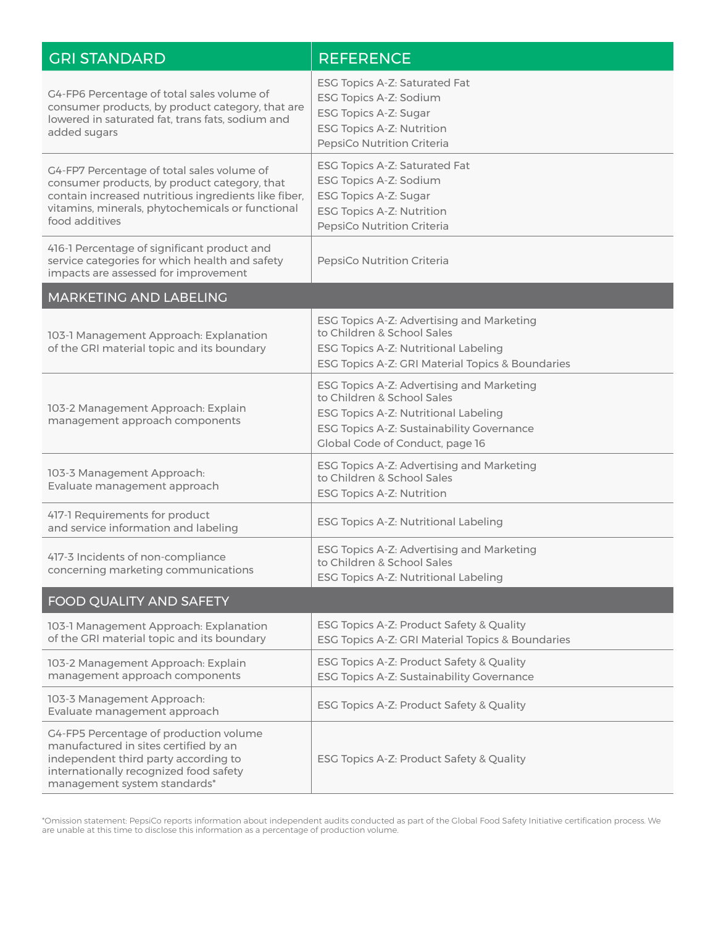| <b>GRI STANDARD</b>                                                                                                                                                                                                      | <b>REFERENCE</b>                                                                                                                                                                                |
|--------------------------------------------------------------------------------------------------------------------------------------------------------------------------------------------------------------------------|-------------------------------------------------------------------------------------------------------------------------------------------------------------------------------------------------|
| G4-FP6 Percentage of total sales volume of<br>consumer products, by product category, that are<br>lowered in saturated fat, trans fats, sodium and<br>added sugars                                                       | ESG Topics A-Z: Saturated Fat<br>ESG Topics A-Z: Sodium<br>ESG Topics A-Z: Sugar<br><b>ESG Topics A-Z: Nutrition</b><br>PepsiCo Nutrition Criteria                                              |
| G4-FP7 Percentage of total sales volume of<br>consumer products, by product category, that<br>contain increased nutritious ingredients like fiber,<br>vitamins, minerals, phytochemicals or functional<br>food additives | ESG Topics A-Z: Saturated Fat<br>ESG Topics A-Z: Sodium<br>ESG Topics A-Z: Sugar<br><b>ESG Topics A-Z: Nutrition</b><br>PepsiCo Nutrition Criteria                                              |
| 416-1 Percentage of significant product and<br>service categories for which health and safety<br>impacts are assessed for improvement                                                                                    | PepsiCo Nutrition Criteria                                                                                                                                                                      |
| MARKETING AND LABELING                                                                                                                                                                                                   |                                                                                                                                                                                                 |
| 103-1 Management Approach: Explanation<br>of the GRI material topic and its boundary                                                                                                                                     | ESG Topics A-Z: Advertising and Marketing<br>to Children & School Sales<br>ESG Topics A-Z: Nutritional Labeling<br>ESG Topics A-Z: GRI Material Topics & Boundaries                             |
| 103-2 Management Approach: Explain<br>management approach components                                                                                                                                                     | ESG Topics A-Z: Advertising and Marketing<br>to Children & School Sales<br>ESG Topics A-Z: Nutritional Labeling<br>ESG Topics A-Z: Sustainability Governance<br>Global Code of Conduct, page 16 |
| 103-3 Management Approach:<br>Evaluate management approach                                                                                                                                                               | ESG Topics A-Z: Advertising and Marketing<br>to Children & School Sales<br>ESG Topics A-Z: Nutrition                                                                                            |
| 417-1 Requirements for product<br>and service information and labeling                                                                                                                                                   | ESG Topics A-Z: Nutritional Labeling                                                                                                                                                            |
| 417-3 Incidents of non-compliance<br>concerning marketing communications                                                                                                                                                 | ESG Topics A-Z: Advertising and Marketing<br>to Children & School Sales<br>ESG Topics A-Z: Nutritional Labeling                                                                                 |
| FOOD QUALITY AND SAFETY                                                                                                                                                                                                  |                                                                                                                                                                                                 |
| 103-1 Management Approach: Explanation<br>of the GRI material topic and its boundary                                                                                                                                     | ESG Topics A-Z: Product Safety & Quality<br>ESG Topics A-Z: GRI Material Topics & Boundaries                                                                                                    |
| 103-2 Management Approach: Explain<br>management approach components                                                                                                                                                     | ESG Topics A-Z: Product Safety & Quality<br>ESG Topics A-Z: Sustainability Governance                                                                                                           |
| 103-3 Management Approach:<br>Evaluate management approach                                                                                                                                                               | ESG Topics A-Z: Product Safety & Quality                                                                                                                                                        |
| G4-FP5 Percentage of production volume<br>manufactured in sites certified by an<br>independent third party according to<br>internationally recognized food safety<br>management system standards*                        | ESG Topics A-Z: Product Safety & Quality                                                                                                                                                        |

\*Omission statement: PepsiCo reports information about independent audits conducted as part of the Global Food Safety Initiative certification process. We are unable at this time to disclose this information as a percentage of production volume.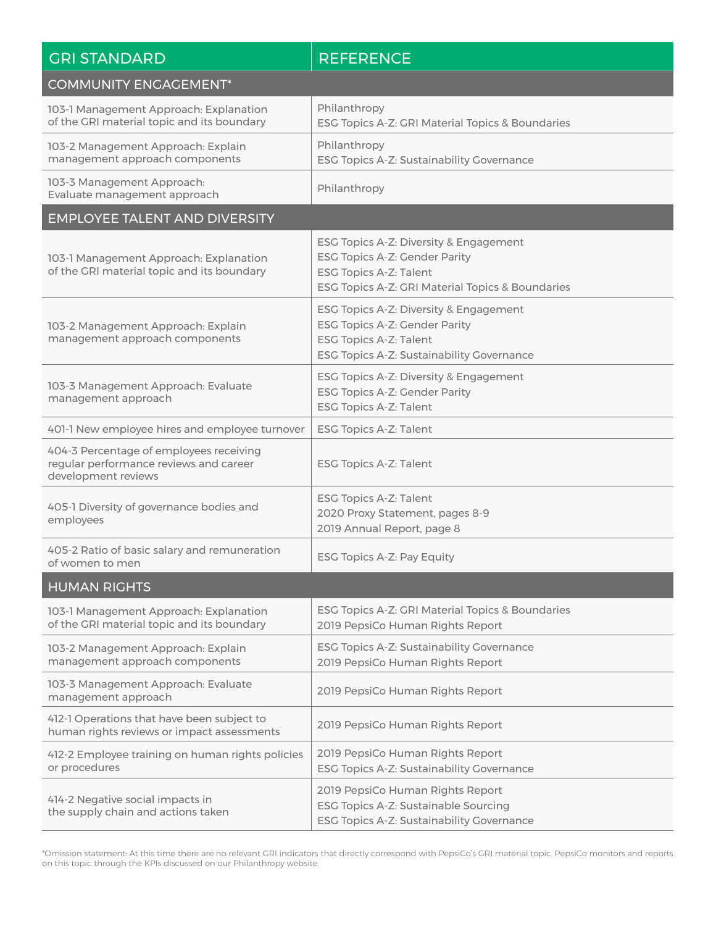| <b>GRI STANDARD</b>                                                                                      | <b>REFERENCE</b>                                                                                                                                      |
|----------------------------------------------------------------------------------------------------------|-------------------------------------------------------------------------------------------------------------------------------------------------------|
| <b>COMMUNITY ENGAGEMENT*</b>                                                                             |                                                                                                                                                       |
| 103-1 Management Approach: Explanation<br>of the GRI material topic and its boundary                     | Philanthropy<br>ESG Topics A-Z: GRI Material Topics & Boundaries                                                                                      |
| 103-2 Management Approach: Explain<br>management approach components                                     | Philanthropy<br>ESG Topics A-Z: Sustainability Governance                                                                                             |
| 103-3 Management Approach:<br>Evaluate management approach                                               | Philanthropy                                                                                                                                          |
| <b>EMPLOYEE TALENT AND DIVERSITY</b>                                                                     |                                                                                                                                                       |
| 103-1 Management Approach: Explanation<br>of the GRI material topic and its boundary                     | ESG Topics A-Z: Diversity & Engagement<br>ESG Topics A-Z: Gender Parity<br>ESG Topics A-Z: Talent<br>ESG Topics A-Z: GRI Material Topics & Boundaries |
| 103-2 Management Approach: Explain<br>management approach components                                     | ESG Topics A-Z: Diversity & Engagement<br>ESG Topics A-Z: Gender Parity<br><b>ESG Topics A-Z: Talent</b><br>ESG Topics A-Z: Sustainability Governance |
| 103-3 Management Approach: Evaluate<br>management approach                                               | ESG Topics A-Z: Diversity & Engagement<br>ESG Topics A-Z: Gender Parity<br>ESG Topics A-Z: Talent                                                     |
| 401-1 New employee hires and employee turnover                                                           | ESG Topics A-Z: Talent                                                                                                                                |
| 404-3 Percentage of employees receiving<br>regular performance reviews and career<br>development reviews | ESG Topics A-Z: Talent                                                                                                                                |
| 405-1 Diversity of governance bodies and<br>employees                                                    | ESG Topics A-Z: Talent<br>2020 Proxy Statement, pages 8-9<br>2019 Annual Report, page 8                                                               |
| 405-2 Ratio of basic salary and remuneration<br>of women to men                                          | ESG Topics A-Z: Pay Equity                                                                                                                            |
| <b>HUMAN RIGHTS</b>                                                                                      |                                                                                                                                                       |
| 103-1 Management Approach: Explanation<br>of the GRI material topic and its boundary                     | ESG Topics A-Z: GRI Material Topics & Boundaries<br>2019 PepsiCo Human Rights Report                                                                  |
| 103-2 Management Approach: Explain<br>management approach components                                     | ESG Topics A-Z: Sustainability Governance<br>2019 PepsiCo Human Rights Report                                                                         |
| 103-3 Management Approach: Evaluate<br>management approach                                               | 2019 PepsiCo Human Rights Report                                                                                                                      |
| 412-1 Operations that have been subject to<br>human rights reviews or impact assessments                 | 2019 PepsiCo Human Rights Report                                                                                                                      |
| 412-2 Employee training on human rights policies<br>or procedures                                        | 2019 PepsiCo Human Rights Report<br>ESG Topics A-Z: Sustainability Governance                                                                         |
| 414-2 Negative social impacts in<br>the supply chain and actions taken                                   | 2019 PepsiCo Human Rights Report<br>ESG Topics A-Z: Sustainable Sourcing<br>ESG Topics A-Z: Sustainability Governance                                 |

\*Omission statement: At this time there are no relevant GRI indicators that directly correspond with PepsiCo's GRI material topic. PepsiCo monitors and reports on this topic through the KPIs discussed on our Philanthropy website.